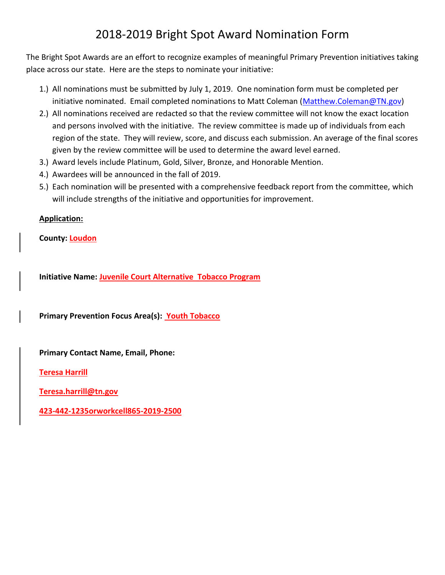# 2018-2019 Bright Spot Award Nomination Form

The Bright Spot Awards are an effort to recognize examples of meaningful Primary Prevention initiatives taking place across our state. Here are the steps to nominate your initiative:

- 1.) All nominations must be submitted by July 1, 2019. One nomination form must be completed per initiative nominated. Email completed nominations to Matt Coleman [\(Matthew.Coleman@TN.gov\)](mailto:Matthew.Coleman@TN.gov)
- 2.) All nominations received are redacted so that the review committee will not know the exact location and persons involved with the initiative. The review committee is made up of individuals from each region of the state. They will review, score, and discuss each submission. An average of the final scores given by the review committee will be used to determine the award level earned.
- 3.) Award levels include Platinum, Gold, Silver, Bronze, and Honorable Mention.
- 4.) Awardees will be announced in the fall of 2019.
- 5.) Each nomination will be presented with a comprehensive feedback report from the committee, which will include strengths of the initiative and opportunities for improvement.

## **Application:**

**County: Loudon**

**Initiative Name: Juvenile Court Alternative Tobacco Program**

**Primary Prevention Focus Area(s): Youth Tobacco**

**Primary Contact Name, Email, Phone:** 

**Teresa Harrill**

**[Teresa.harrill@tn.gov](mailto:Teresa.harrill@tn.gov)**

**423-442-1235orworkcell865-2019-2500**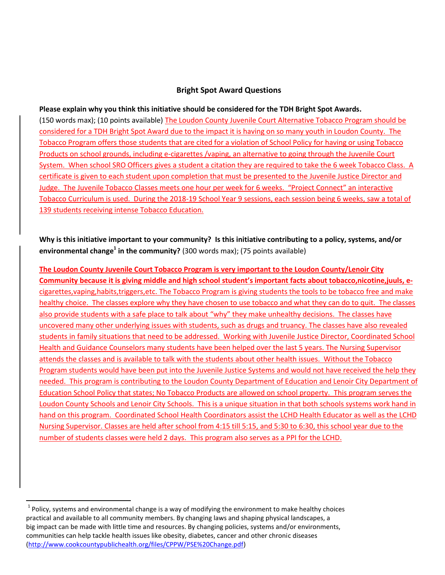### **Bright Spot Award Questions**

#### **Please explain why you think this initiative should be considered for the TDH Bright Spot Awards.**

(150 words max); (10 points available) The Loudon County Juvenile Court Alternative Tobacco Program should be considered for a TDH Bright Spot Award due to the impact it is having on so many youth in Loudon County. The Tobacco Program offers those students that are cited for a violation of School Policy for having or using Tobacco Products on school grounds, including e-cigarettes /vaping, an alternative to going through the Juvenile Court System. When school SRO Officers gives a student a citation they are required to take the 6 week Tobacco Class. A certificate is given to each student upon completion that must be presented to the Juvenile Justice Director and Judge. The Juvenile Tobacco Classes meets one hour per week for 6 weeks. "Project Connect" an interactive Tobacco Curriculum is used. During the 2018-19 School Year 9 sessions, each session being 6 weeks, saw a total of 139 students receiving intense Tobacco Education.

**Why is this initiative important to your community? Is this initiative contributing to a policy, systems, and/or environmental change<sup>1</sup> in the community?** (300 words max); (75 points available)

**The Loudon County Juvenile Court Tobacco Program is very important to the Loudon County/Lenoir City Community because it is giving middle and high school student's important facts about tobacco,nicotine,juuls, e**cigarettes,vaping,habits,triggers,etc. The Tobacco Program is giving students the tools to be tobacco free and make healthy choice. The classes explore why they have chosen to use tobacco and what they can do to quit. The classes also provide students with a safe place to talk about "why" they make unhealthy decisions. The classes have uncovered many other underlying issues with students, such as drugs and truancy. The classes have also revealed students in family situations that need to be addressed. Working with Juvenile Justice Director, Coordinated School Health and Guidance Counselors many students have been helped over the last 5 years. The Nursing Supervisor attends the classes and is available to talk with the students about other health issues. Without the Tobacco Program students would have been put into the Juvenile Justice Systems and would not have received the help they needed. This program is contributing to the Loudon County Department of Education and Lenoir City Department of Education School Policy that states; No Tobacco Products are allowed on school property. This program serves the Loudon County Schools and Lenoir City Schools. This is a unique situation in that both schools systems work hand in hand on this program. Coordinated School Health Coordinators assist the LCHD Health Educator as well as the LCHD Nursing Supervisor. Classes are held after school from 4:15 till 5:15, and 5:30 to 6:30, this school year due to the number of students classes were held 2 days. This program also serves as a PPI for the LCHD.

l

 $^{1}$  Policy, systems and environmental change is a way of modifying the environment to make healthy choices practical and available to all community members. By changing laws and shaping physical landscapes, a big impact can be made with little time and resources. By changing policies, systems and/or environments, communities can help tackle health issues like obesity, diabetes, cancer and other chronic diseases [\(http://www.cookcountypublichealth.org/files/CPPW/PSE%20Change.pdf\)](http://www.cookcountypublichealth.org/files/CPPW/PSE%20Change.pdf)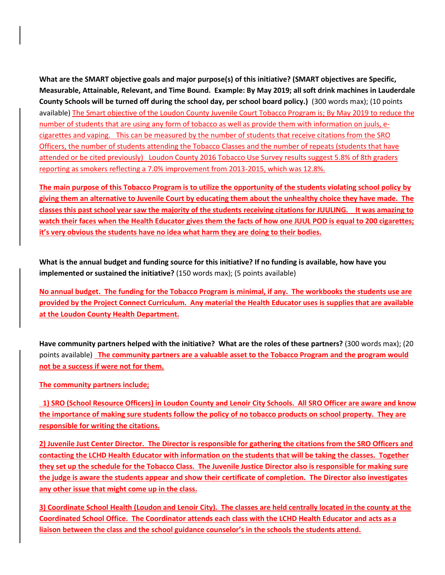**What are the SMART objective goals and major purpose(s) of this initiative? (SMART objectives are Specific, Measurable, Attainable, Relevant, and Time Bound. Example: By May 2019; all soft drink machines in Lauderdale County Schools will be turned off during the school day, per school board policy.)** (300 words max); (10 points available) The Smart objective of the Loudon County Juvenile Court Tobacco Program is; By May 2019 to reduce the number of students that are using any form of tobacco as well as provide them with information on juuls, ecigarettes and vaping. This can be measured by the number of students that receive citations from the SRO Officers, the number of students attending the Tobacco Classes and the number of repeats (students that have attended or be cited previously) Loudon County 2016 Tobacco Use Survey results suggest 5.8% of 8th graders reporting as smokers reflecting a 7.0% improvement from 2013-2015, which was 12.8%.

**The main purpose of this Tobacco Program is to utilize the opportunity of the students violating school policy by giving them an alternative to Juvenile Court by educating them about the unhealthy choice they have made. The classes this past school year saw the majority of the students receiving citations for JUULING. It was amazing to watch their faces when the Health Educator gives them the facts of how one JUUL POD is equal to 200 cigarettes; it's very obvious the students have no idea what harm they are doing to their bodies.**

**What is the annual budget and funding source for this initiative? If no funding is available, how have you implemented or sustained the initiative?** (150 words max); (5 points available)

**No annual budget. The funding for the Tobacco Program is minimal, if any. The workbooks the students use are provided by the Project Connect Curriculum. Any material the Health Educator uses is supplies that are available at the Loudon County Health Department.** 

**Have community partners helped with the initiative? What are the roles of these partners?** (300 words max); (20 points available) **The community partners are a valuable asset to the Tobacco Program and the program would not be a success if were not for them.** 

#### **The community partners include;**

 **1) SRO (School Resource Officers) in Loudon County and Lenoir City Schools. All SRO Officer are aware and know the importance of making sure students follow the policy of no tobacco products on school property. They are responsible for writing the citations.**

**2) Juvenile Just Center Director. The Director is responsible for gathering the citations from the SRO Officers and contacting the LCHD Health Educator with information on the students that will be taking the classes. Together they set up the schedule for the Tobacco Class. The Juvenile Justice Director also is responsible for making sure the judge is aware the students appear and show their certificate of completion. The Director also investigates any other issue that might come up in the class.**

**3) Coordinate School Health (Loudon and Lenoir City). The classes are held centrally located in the county at the Coordinated School Office. The Coordinator attends each class with the LCHD Health Educator and acts as a liaison between the class and the school guidance counselor's in the schools the students attend.**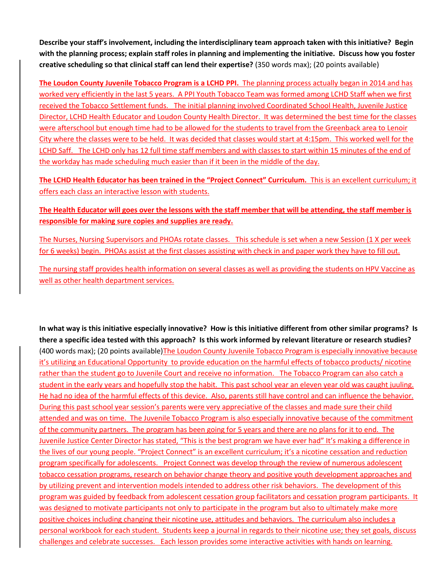**Describe your staff's involvement, including the interdisciplinary team approach taken with this initiative? Begin with the planning process; explain staff roles in planning and implementing the initiative. Discuss how you foster creative scheduling so that clinical staff can lend their expertise?** (350 words max); (20 points available)

**The Loudon County Juvenile Tobacco Program is a LCHD PPI.** The planning process actually began in 2014 and has worked very efficiently in the last 5 years. A PPI Youth Tobacco Team was formed among LCHD Staff when we first received the Tobacco Settlement funds. The initial planning involved Coordinated School Health, Juvenile Justice Director, LCHD Health Educator and Loudon County Health Director. It was determined the best time for the classes were afterschool but enough time had to be allowed for the students to travel from the Greenback area to Lenoir City where the classes were to be held. It was decided that classes would start at 4:15pm. This worked well for the LCHD Saff. The LCHD only has 12 full time staff members and with classes to start within 15 minutes of the end of the workday has made scheduling much easier than if it been in the middle of the day.

**The LCHD Health Educator has been trained in the "Project Connect" Curriculum.** This is an excellent curriculum; it offers each class an interactive lesson with students.

**The Health Educator will goes over the lessons with the staff member that will be attending, the staff member is responsible for making sure copies and supplies are ready.**

The Nurses, Nursing Supervisors and PHOAs rotate classes. This schedule is set when a new Session (1 X per week for 6 weeks) begin. PHOAs assist at the first classes assisting with check in and paper work they have to fill out.

The nursing staff provides health information on several classes as well as providing the students on HPV Vaccine as well as other health department services.

**In what way is this initiative especially innovative? How is this initiative different from other similar programs? Is there a specific idea tested with this approach? Is this work informed by relevant literature or research studies?**  (400 words max); (20 points available)The Loudon County Juvenile Tobacco Program is especially innovative because it's utilizing an Educational Opportunity to provide education on the harmful effects of tobacco products/ nicotine rather than the student go to Juvenile Court and receive no information. The Tobacco Program can also catch a student in the early years and hopefully stop the habit. This past school year an eleven year old was caught juuling. He had no idea of the harmful effects of this device. Also, parents still have control and can influence the behavior. During this past school year session's parents were very appreciative of the classes and made sure their child attended and was on time. The Juvenile Tobacco Program is also especially innovative because of the commitment of the community partners. The program has been going for 5 years and there are no plans for it to end. The Juvenile Justice Center Director has stated, "This is the best program we have ever had" It's making a difference in the lives of our young people. "Project Connect" is an excellent curriculum; it's a nicotine cessation and reduction program specifically for adolescents. Project Connect was develop through the review of numerous adolescent tobacco cessation programs, research on behavior change theory and positive youth development approaches and by utilizing prevent and intervention models intended to address other risk behaviors. The development of this program was guided by feedback from adolescent cessation group facilitators and cessation program participants. It was designed to motivate participants not only to participate in the program but also to ultimately make more positive choices including changing their nicotine use, attitudes and behaviors. The curriculum also includes a personal workbook for each student. Students keep a journal in regards to their nicotine use; they set goals, discuss challenges and celebrate successes. Each lesson provides some interactive activities with hands on learning.